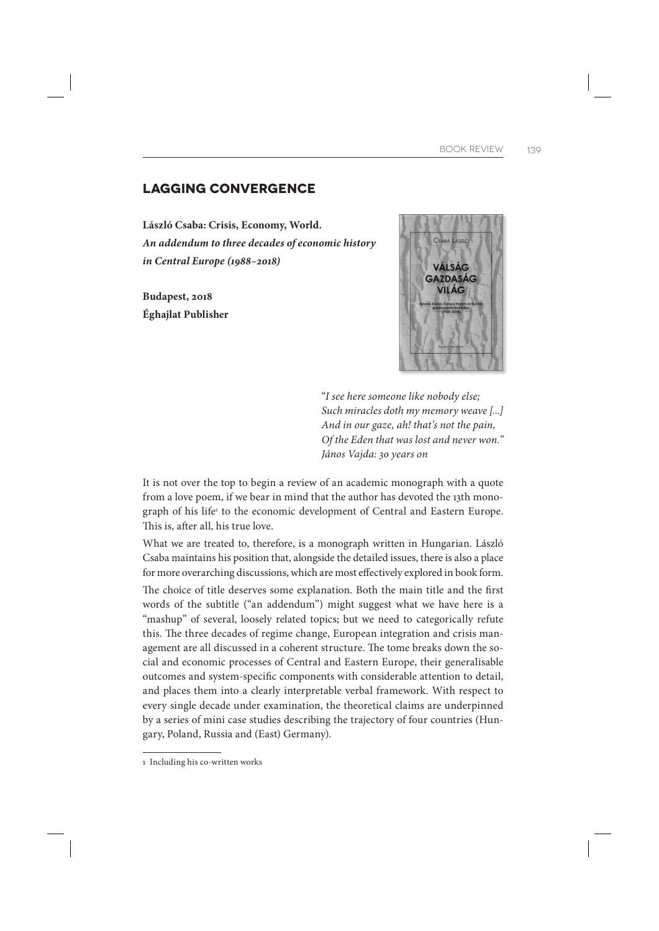## **LAGGING CONVERGENCE**

**László Csaba: Crisis, Economy, World.** *An addendum to three decades of economic history in Central Europe (1988–2018)*

**Budapest, 2018 Éghajlat Publisher**



"I see here someone like nobody else; Such miracles doth my memory weave [...] And in our gaze, ah! that's not the pain, Of the Eden that was lost and never won." János Vajda: 30 years on

It is not over the top to begin a review of an academic monograph with a quote from a love poem, if we bear in mind that the author has devoted the 13th monograph of his life<sup>1</sup> to the economic development of Central and Eastern Europe. This is, after all, his true love.

What we are treated to, therefore, is a monograph written in Hungarian. László Csaba maintains his position that, alongside the detailed issues, there is also a place for more overarching discussions, which are most effectively explored in book form.

The choice of title deserves some explanation. Both the main title and the first words of the subtitle ("an addendum") might suggest what we have here is a "mashup" of several, loosely related topics; but we need to categorically refute this. The three decades of regime change, European integration and crisis management are all discussed in a coherent structure. The tome breaks down the social and economic processes of Central and Eastern Europe, their generalisable outcomes and system-specific components with considerable attention to detail, and places them into a clearly interpretable verbal framework. With respect to every single decade under examination, the theoretical claims are underpinned by a series of mini case studies describing the trajectory of four countries (Hungary, Poland, Russia and (East) Germany).

<sup>1</sup> Including his co-written works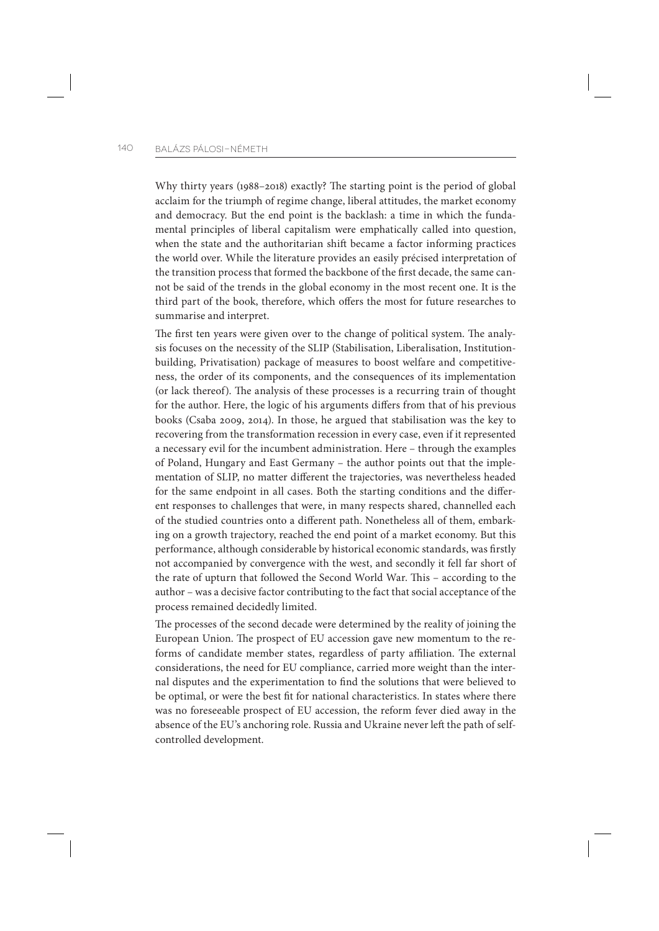Why thirty years (1988–2018) exactly? The starting point is the period of global acclaim for the triumph of regime change, liberal attitudes, the market economy and democracy. But the end point is the backlash: a time in which the fundamental principles of liberal capitalism were emphatically called into question, when the state and the authoritarian shift became a factor informing practices the world over. While the literature provides an easily précised interpretation of the transition process that formed the backbone of the first decade, the same cannot be said of the trends in the global economy in the most recent one. It is the third part of the book, therefore, which offers the most for future researches to summarise and interpret.

The first ten years were given over to the change of political system. The analysis focuses on the necessity of the SLIP (Stabilisation, Liberalisation, Institutionbuilding, Privatisation) package of measures to boost welfare and competitiveness, the order of its components, and the consequences of its implementation (or lack thereof). The analysis of these processes is a recurring train of thought for the author. Here, the logic of his arguments differs from that of his previous books (Csaba 2009, 2014). In those, he argued that stabilisation was the key to recovering from the transformation recession in every case, even if it represented a necessary evil for the incumbent administration. Here – through the examples of Poland, Hungary and East Germany – the author points out that the implementation of SLIP, no matter different the trajectories, was nevertheless headed for the same endpoint in all cases. Both the starting conditions and the different responses to challenges that were, in many respects shared, channelled each of the studied countries onto a different path. Nonetheless all of them, embarking on a growth trajectory, reached the end point of a market economy. But this performance, although considerable by historical economic standards, was firstly not accompanied by convergence with the west, and secondly it fell far short of the rate of upturn that followed the Second World War. This - according to the author – was a decisive factor contributing to the fact that social acceptance of the process remained decidedly limited.

The processes of the second decade were determined by the reality of joining the European Union. The prospect of EU accession gave new momentum to the reforms of candidate member states, regardless of party affiliation. The external considerations, the need for EU compliance, carried more weight than the internal disputes and the experimentation to find the solutions that were believed to be optimal, or were the best fit for national characteristics. In states where there was no foreseeable prospect of EU accession, the reform fever died away in the absence of the EU's anchoring role. Russia and Ukraine never left the path of selfcontrolled development.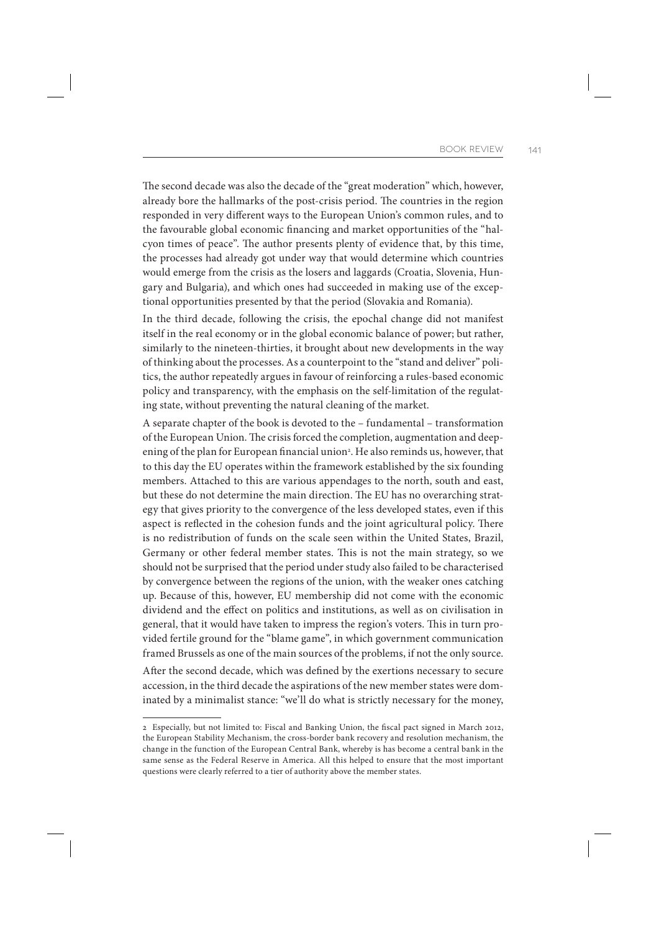The second decade was also the decade of the "great moderation" which, however, already bore the hallmarks of the post-crisis period. The countries in the region responded in very different ways to the European Union's common rules, and to the favourable global economic financing and market opportunities of the "halcyon times of peace". The author presents plenty of evidence that, by this time, the processes had already got under way that would determine which countries would emerge from the crisis as the losers and laggards (Croatia, Slovenia, Hungary and Bulgaria), and which ones had succeeded in making use of the exceptional opportunities presented by that the period (Slovakia and Romania).

In the third decade, following the crisis, the epochal change did not manifest itself in the real economy or in the global economic balance of power; but rather, similarly to the nineteen-thirties, it brought about new developments in the way of thinking about the processes. As a counterpoint to the "stand and deliver" politics, the author repeatedly argues in favour of reinforcing a rules-based economic policy and transparency, with the emphasis on the self-limitation of the regulating state, without preventing the natural cleaning of the market.

A separate chapter of the book is devoted to the – fundamental – transformation of the European Union. The crisis forced the completion, augmentation and deepening of the plan for European financial union<sup>2</sup>. He also reminds us, however, that to this day the EU operates within the framework established by the six founding members. Attached to this are various appendages to the north, south and east, but these do not determine the main direction. The EU has no overarching strategy that gives priority to the convergence of the less developed states, even if this aspect is reflected in the cohesion funds and the joint agricultural policy. There is no redistribution of funds on the scale seen within the United States, Brazil, Germany or other federal member states. This is not the main strategy, so we should not be surprised that the period under study also failed to be characterised by convergence between the regions of the union, with the weaker ones catching up. Because of this, however, EU membership did not come with the economic dividend and the effect on politics and institutions, as well as on civilisation in general, that it would have taken to impress the region's voters. This in turn provided fertile ground for the "blame game", in which government communication framed Brussels as one of the main sources of the problems, if not the only source.

After the second decade, which was defined by the exertions necessary to secure accession, in the third decade the aspirations of the new member states were dominated by a minimalist stance: "we'll do what is strictly necessary for the money,

<sup>2</sup> Especially, but not limited to: Fiscal and Banking Union, the fiscal pact signed in March 2012, the European Stability Mechanism, the cross-border bank recovery and resolution mechanism, the change in the function of the European Central Bank, whereby is has become a central bank in the same sense as the Federal Reserve in America. All this helped to ensure that the most important questions were clearly referred to a tier of authority above the member states.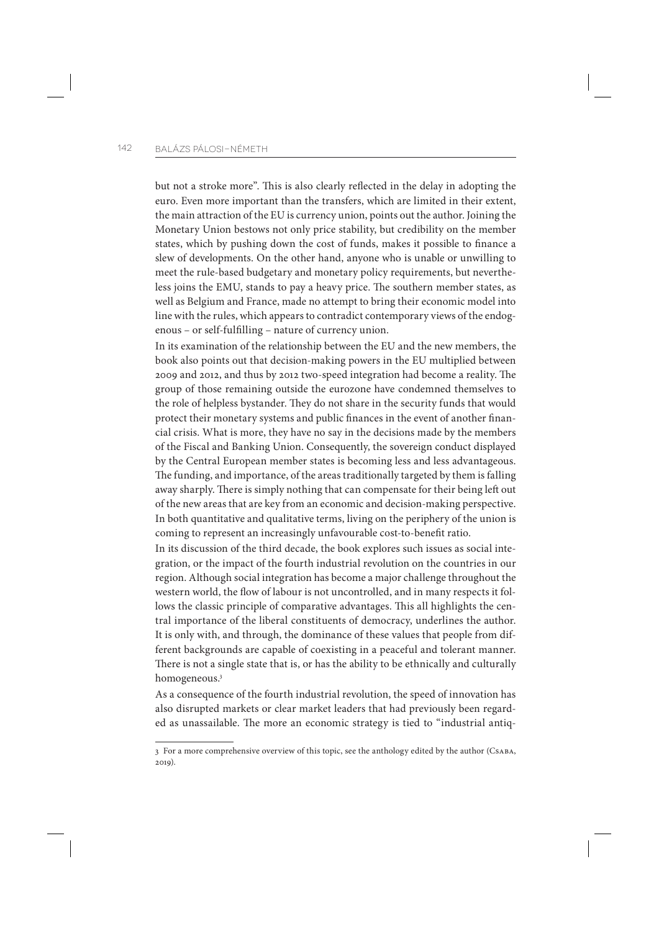but not a stroke more". This is also clearly reflected in the delay in adopting the euro. Even more important than the transfers, which are limited in their extent, the main attraction of the EU is currency union, points out the author. Joining the Monetary Union bestows not only price stability, but credibility on the member states, which by pushing down the cost of funds, makes it possible to finance a slew of developments. On the other hand, anyone who is unable or unwilling to meet the rule-based budgetary and monetary policy requirements, but nevertheless joins the EMU, stands to pay a heavy price. The southern member states, as well as Belgium and France, made no attempt to bring their economic model into line with the rules, which appears to contradict contemporary views of the endogenous – or self-fulfilling – nature of currency union.

In its examination of the relationship between the EU and the new members, the book also points out that decision-making powers in the EU multiplied between 2009 and 2012, and thus by 2012 two-speed integration had become a reality. The group of those remaining outside the eurozone have condemned themselves to the role of helpless bystander. They do not share in the security funds that would protect their monetary systems and public finances in the event of another financial crisis. What is more, they have no say in the decisions made by the members of the Fiscal and Banking Union. Consequently, the sovereign conduct displayed by the Central European member states is becoming less and less advantageous. The funding, and importance, of the areas traditionally targeted by them is falling away sharply. There is simply nothing that can compensate for their being left out of the new areas that are key from an economic and decision-making perspective. In both quantitative and qualitative terms, living on the periphery of the union is coming to represent an increasingly unfavourable cost-to-benefit ratio.

In its discussion of the third decade, the book explores such issues as social integration, or the impact of the fourth industrial revolution on the countries in our region. Although social integration has become a major challenge throughout the western world, the flow of labour is not uncontrolled, and in many respects it follows the classic principle of comparative advantages. This all highlights the central importance of the liberal constituents of democracy, underlines the author. It is only with, and through, the dominance of these values that people from different backgrounds are capable of coexisting in a peaceful and tolerant manner. There is not a single state that is, or has the ability to be ethnically and culturally homogeneous.3

As a consequence of the fourth industrial revolution, the speed of innovation has also disrupted markets or clear market leaders that had previously been regarded as unassailable. The more an economic strategy is tied to "industrial antiq-

<sup>3</sup> For a more comprehensive overview of this topic, see the anthology edited by the author (Csaba, 2019).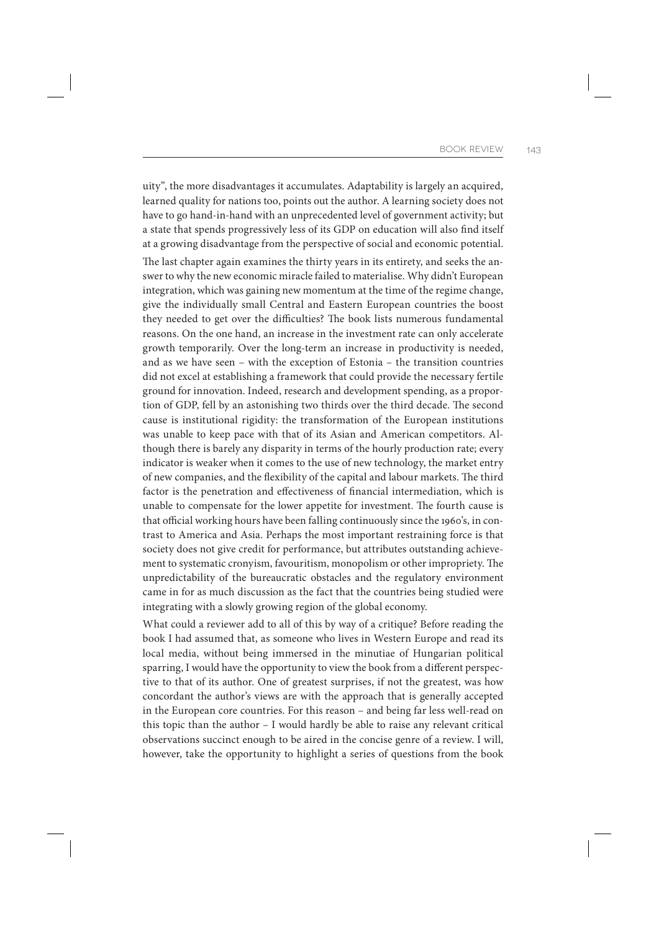uity", the more disadvantages it accumulates. Adaptability is largely an acquired, learned quality for nations too, points out the author. A learning society does not have to go hand-in-hand with an unprecedented level of government activity; but a state that spends progressively less of its GDP on education will also find itself at a growing disadvantage from the perspective of social and economic potential.

The last chapter again examines the thirty years in its entirety, and seeks the answer to why the new economic miracle failed to materialise. Why didn't European integration, which was gaining new momentum at the time of the regime change, give the individually small Central and Eastern European countries the boost they needed to get over the difficulties? The book lists numerous fundamental reasons. On the one hand, an increase in the investment rate can only accelerate growth temporarily. Over the long-term an increase in productivity is needed, and as we have seen – with the exception of Estonia – the transition countries did not excel at establishing a framework that could provide the necessary fertile ground for innovation. Indeed, research and development spending, as a proportion of GDP, fell by an astonishing two thirds over the third decade. The second cause is institutional rigidity: the transformation of the European institutions was unable to keep pace with that of its Asian and American competitors. Although there is barely any disparity in terms of the hourly production rate; every indicator is weaker when it comes to the use of new technology, the market entry of new companies, and the flexibility of the capital and labour markets. The third factor is the penetration and effectiveness of financial intermediation, which is unable to compensate for the lower appetite for investment. The fourth cause is that official working hours have been falling continuously since the 1960's, in contrast to America and Asia. Perhaps the most important restraining force is that society does not give credit for performance, but attributes outstanding achievement to systematic cronyism, favouritism, monopolism or other impropriety. The unpredictability of the bureaucratic obstacles and the regulatory environment came in for as much discussion as the fact that the countries being studied were integrating with a slowly growing region of the global economy.

What could a reviewer add to all of this by way of a critique? Before reading the book I had assumed that, as someone who lives in Western Europe and read its local media, without being immersed in the minutiae of Hungarian political sparring, I would have the opportunity to view the book from a different perspective to that of its author. One of greatest surprises, if not the greatest, was how concordant the author's views are with the approach that is generally accepted in the European core countries. For this reason – and being far less well-read on this topic than the author – I would hardly be able to raise any relevant critical observations succinct enough to be aired in the concise genre of a review. I will, however, take the opportunity to highlight a series of questions from the book